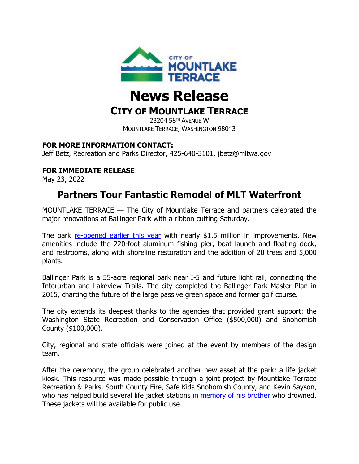

# **News Release**

## **CITY OF MOUNTLAKE TERRACE**

23204 58TH AVENUE W MOUNTLAKE TERRACE, WASHINGTON 98043

#### **FOR MORE INFORMATION CONTACT:**

Jeff Betz, Recreation and Parks Director, 425-640-3101, jbetz@mltwa.gov

### **FOR IMMEDIATE RELEASE**:

May 23, 2022

## **Partners Tour Fantastic Remodel of MLT Waterfront**

MOUNTLAKE TERRACE — The City of Mountlake Terrace and partners celebrated the major renovations at Ballinger Park with a ribbon cutting Saturday.

The park [re-opened earlier this year](https://cityofmlt.com/ArchiveCenter/ViewFile/Item/4411) with nearly \$1.5 million in improvements. New amenities include the 220-foot aluminum fishing pier, boat launch and floating dock, and restrooms, along with shoreline restoration and the addition of 20 trees and 5,000 plants.

Ballinger Park is a 55-acre regional park near I-5 and future light rail, connecting the Interurban and Lakeview Trails. The city completed the Ballinger Park Master Plan in 2015, charting the future of the large passive green space and former golf course.

The city extends its deepest thanks to the agencies that provided grant support: the Washington State Recreation and Conservation Office (\$500,000) and Snohomish County (\$100,000).

City, regional and state officials were joined at the event by members of the design team.

After the ceremony, the group celebrated another new asset at the park: a life jacket kiosk. This resource was made possible through a joint project by Mountlake Terrace Recreation & Parks, South County Fire, Safe Kids Snohomish County, and Kevin Sayson, who has helped build several life jacket stations [in memory of his brother](https://www.king5.com/article/news/one-familys-story-could-save-lives-on-the-water-this-summer/281-330730872) who drowned. These jackets will be available for public use.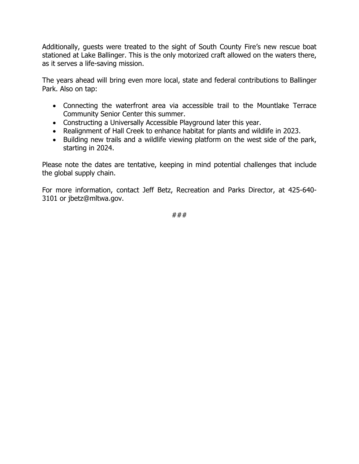Additionally, guests were treated to the sight of South County Fire's new rescue boat stationed at Lake Ballinger. This is the only motorized craft allowed on the waters there, as it serves a life-saving mission.

The years ahead will bring even more local, state and federal contributions to Ballinger Park. Also on tap:

- Connecting the waterfront area via accessible trail to the Mountlake Terrace Community Senior Center this summer.
- Constructing a Universally Accessible Playground later this year.
- Realignment of Hall Creek to enhance habitat for plants and wildlife in 2023.
- Building new trails and a wildlife viewing platform on the west side of the park, starting in 2024.

Please note the dates are tentative, keeping in mind potential challenges that include the global supply chain.

For more information, contact Jeff Betz, Recreation and Parks Director, at 425-640- 3101 or jbetz@mltwa.gov.

###